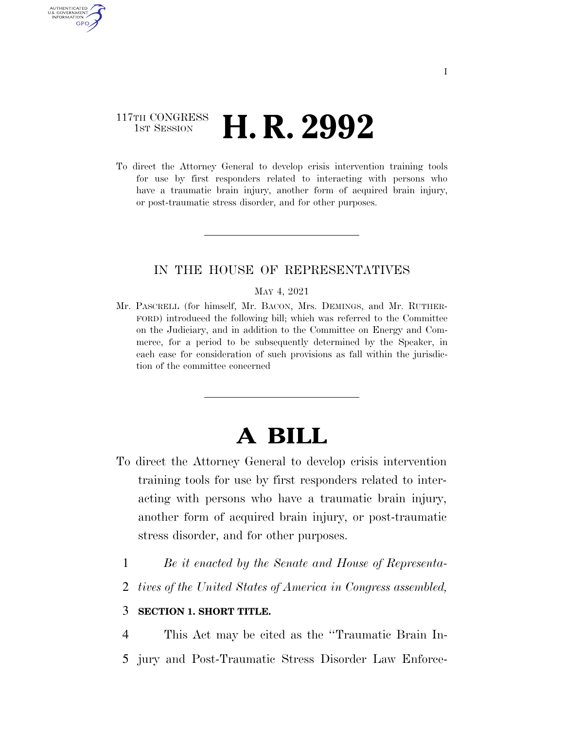## 117TH CONGRESS **1st Session H. R. 2992**

AUTHENTICATED U.S. GOVERNMENT **GPO** 

> To direct the Attorney General to develop crisis intervention training tools for use by first responders related to interacting with persons who have a traumatic brain injury, another form of acquired brain injury, or post-traumatic stress disorder, and for other purposes.

### IN THE HOUSE OF REPRESENTATIVES

#### MAY 4, 2021

Mr. PASCRELL (for himself, Mr. BACON, Mrs. DEMINGS, and Mr. RUTHER-FORD) introduced the following bill; which was referred to the Committee on the Judiciary, and in addition to the Committee on Energy and Commerce, for a period to be subsequently determined by the Speaker, in each case for consideration of such provisions as fall within the jurisdiction of the committee concerned

# **A BILL**

- To direct the Attorney General to develop crisis intervention training tools for use by first responders related to interacting with persons who have a traumatic brain injury, another form of acquired brain injury, or post-traumatic stress disorder, and for other purposes.
	- 1 *Be it enacted by the Senate and House of Representa-*
	- 2 *tives of the United States of America in Congress assembled,*

### 3 **SECTION 1. SHORT TITLE.**

4 This Act may be cited as the ''Traumatic Brain In-

5 jury and Post-Traumatic Stress Disorder Law Enforce-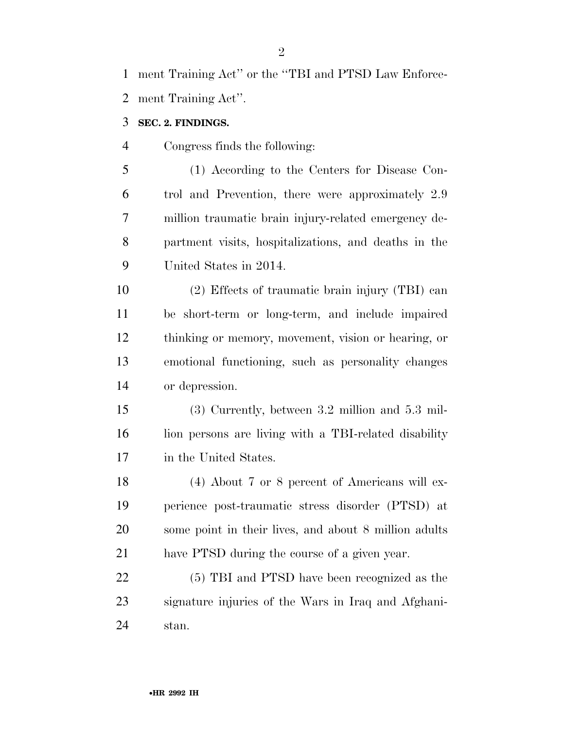ment Training Act'' or the ''TBI and PTSD Law Enforce-ment Training Act''.

- **SEC. 2. FINDINGS.**
- Congress finds the following:

 (1) According to the Centers for Disease Con- trol and Prevention, there were approximately 2.9 million traumatic brain injury-related emergency de- partment visits, hospitalizations, and deaths in the United States in 2014.

 (2) Effects of traumatic brain injury (TBI) can be short-term or long-term, and include impaired thinking or memory, movement, vision or hearing, or emotional functioning, such as personality changes or depression.

 (3) Currently, between 3.2 million and 5.3 mil- lion persons are living with a TBI-related disability in the United States.

 (4) About 7 or 8 percent of Americans will ex- perience post-traumatic stress disorder (PTSD) at some point in their lives, and about 8 million adults have PTSD during the course of a given year.

 (5) TBI and PTSD have been recognized as the signature injuries of the Wars in Iraq and Afghani-stan.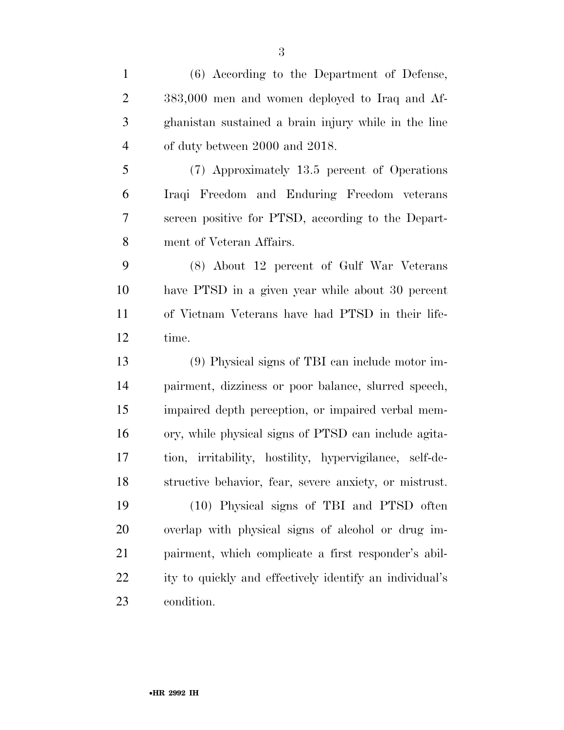(6) According to the Department of Defense, 383,000 men and women deployed to Iraq and Af- ghanistan sustained a brain injury while in the line of duty between 2000 and 2018. (7) Approximately 13.5 percent of Operations Iraqi Freedom and Enduring Freedom veterans screen positive for PTSD, according to the Depart- ment of Veteran Affairs. (8) About 12 percent of Gulf War Veterans have PTSD in a given year while about 30 percent of Vietnam Veterans have had PTSD in their life- time. (9) Physical signs of TBI can include motor im- pairment, dizziness or poor balance, slurred speech, impaired depth perception, or impaired verbal mem- ory, while physical signs of PTSD can include agita- tion, irritability, hostility, hypervigilance, self-de- structive behavior, fear, severe anxiety, or mistrust. (10) Physical signs of TBI and PTSD often overlap with physical signs of alcohol or drug im- pairment, which complicate a first responder's abil- ity to quickly and effectively identify an individual's condition.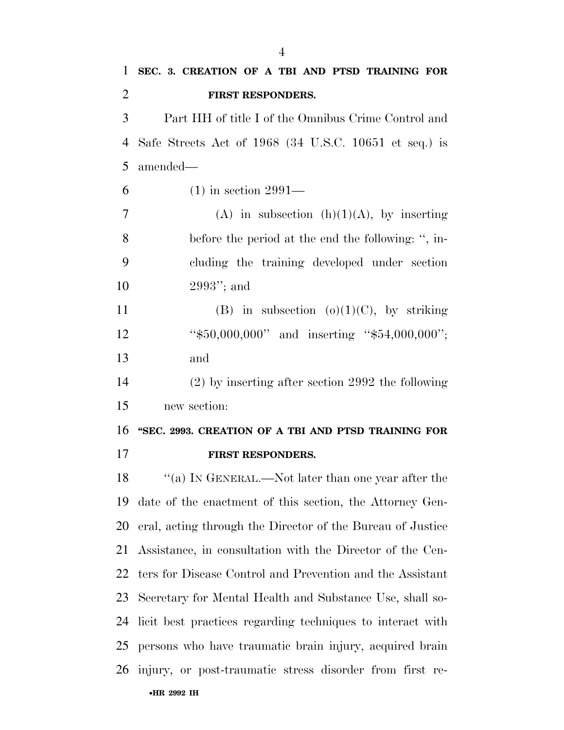| 1              | SEC. 3. CREATION OF A TBI AND PTSD TRAINING FOR            |
|----------------|------------------------------------------------------------|
| $\overline{2}$ | FIRST RESPONDERS.                                          |
| 3              | Part HH of title I of the Omnibus Crime Control and        |
| 4              | Safe Streets Act of 1968 (34 U.S.C. 10651 et seq.) is      |
| 5              | amended-                                                   |
| 6              | $(1)$ in section 2991—                                     |
| 7              | (A) in subsection $(h)(1)(A)$ , by inserting               |
| 8              | before the period at the end the following: ", in-         |
| 9              | cluding the training developed under section               |
| 10             | $2993$ "; and                                              |
| 11             | (B) in subsection (o)(1)(C), by striking                   |
| 12             | " $$50,000,000"$ and inserting " $$54,000,000"$ ;          |
| 13             | and                                                        |
| 14             | $(2)$ by inserting after section 2992 the following        |
| 15             | new section:                                               |
| 16             | "SEC. 2993. CREATION OF A TBI AND PTSD TRAINING FOR        |
| 17             | FIRST RESPONDERS.                                          |
| 18             | "(a) IN GENERAL.—Not later than one year after the         |
| 19             | date of the enactment of this section, the Attorney Gen-   |
| 20             | eral, acting through the Director of the Bureau of Justice |
| 21             | Assistance, in consultation with the Director of the Cen-  |
| 22             | ters for Disease Control and Prevention and the Assistant  |
| 23             | Secretary for Mental Health and Substance Use, shall so-   |
| 24             | licit best practices regarding techniques to interact with |
| 25             | persons who have traumatic brain injury, acquired brain    |
| 26             | injury, or post-traumatic stress disorder from first re-   |
|                | •HR 2992 IH                                                |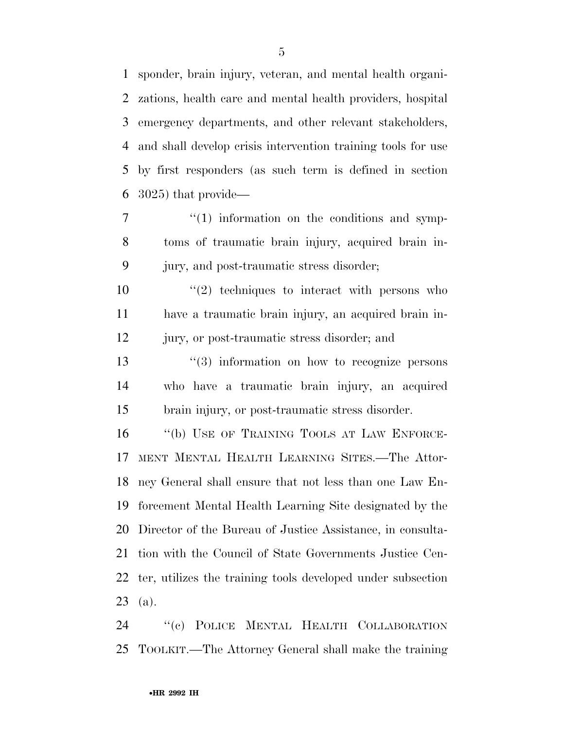sponder, brain injury, veteran, and mental health organi- zations, health care and mental health providers, hospital emergency departments, and other relevant stakeholders, and shall develop crisis intervention training tools for use by first responders (as such term is defined in section 3025) that provide—

 $7 \t\t\t\t\t\t''(1)$  information on the conditions and symp- toms of traumatic brain injury, acquired brain in-jury, and post-traumatic stress disorder;

 $\frac{10}{2}$  techniques to interact with persons who have a traumatic brain injury, an acquired brain in-jury, or post-traumatic stress disorder; and

13 ''(3) information on how to recognize persons who have a traumatic brain injury, an acquired brain injury, or post-traumatic stress disorder.

16 "(b) USE OF TRAINING TOOLS AT LAW ENFORCE- MENT MENTAL HEALTH LEARNING SITES.—The Attor- ney General shall ensure that not less than one Law En- forcement Mental Health Learning Site designated by the Director of the Bureau of Justice Assistance, in consulta- tion with the Council of State Governments Justice Cen- ter, utilizes the training tools developed under subsection (a).

 ''(c) POLICE MENTAL HEALTH COLLABORATION TOOLKIT.—The Attorney General shall make the training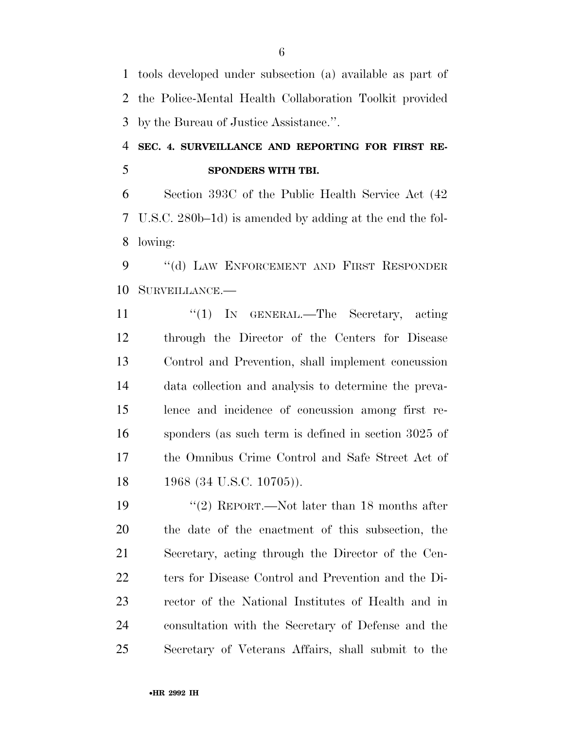tools developed under subsection (a) available as part of the Police-Mental Health Collaboration Toolkit provided by the Bureau of Justice Assistance.''.

# **SEC. 4. SURVEILLANCE AND REPORTING FOR FIRST RE-SPONDERS WITH TBI.**

 Section 393C of the Public Health Service Act (42 U.S.C. 280b–1d) is amended by adding at the end the fol-lowing:

9 "(d) LAW ENFORCEMENT AND FIRST RESPONDER SURVEILLANCE.—

11 "'(1) In GENERAL.—The Secretary, acting through the Director of the Centers for Disease Control and Prevention, shall implement concussion data collection and analysis to determine the preva- lence and incidence of concussion among first re- sponders (as such term is defined in section 3025 of the Omnibus Crime Control and Safe Street Act of 18 1968 (34 U.S.C. 10705)).

19 ''(2) REPORT.—Not later than 18 months after the date of the enactment of this subsection, the Secretary, acting through the Director of the Cen- ters for Disease Control and Prevention and the Di- rector of the National Institutes of Health and in consultation with the Secretary of Defense and the Secretary of Veterans Affairs, shall submit to the